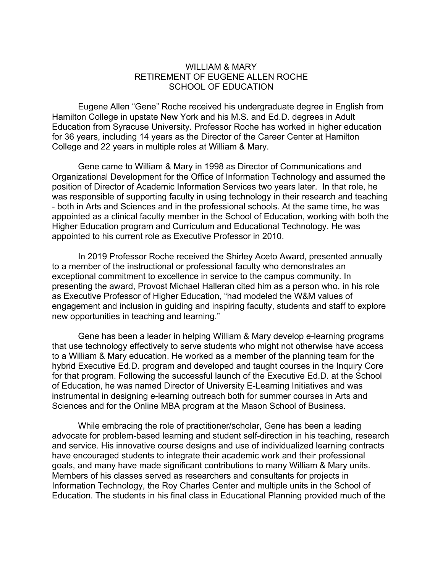## WILLIAM & MARY RETIREMENT OF EUGENE ALLEN ROCHE SCHOOL OF EDUCATION

Eugene Allen "Gene" Roche received his undergraduate degree in English from Hamilton College in upstate New York and his M.S. and Ed.D. degrees in Adult Education from Syracuse University. Professor Roche has worked in higher education for 36 years, including 14 years as the Director of the Career Center at Hamilton College and 22 years in multiple roles at William & Mary.

Gene came to William & Mary in 1998 as Director of Communications and Organizational Development for the Office of Information Technology and assumed the position of Director of Academic Information Services two years later. In that role, he was responsible of supporting faculty in using technology in their research and teaching - both in Arts and Sciences and in the professional schools. At the same time, he was appointed as a clinical faculty member in the School of Education, working with both the Higher Education program and Curriculum and Educational Technology. He was appointed to his current role as Executive Professor in 2010.

In 2019 Professor Roche received the Shirley Aceto Award, presented annually to a member of the instructional or professional faculty who demonstrates an exceptional commitment to excellence in service to the campus community. In presenting the award, Provost Michael Halleran cited him as a person who, in his role as Executive Professor of Higher Education, "had modeled the W&M values of engagement and inclusion in guiding and inspiring faculty, students and staff to explore new opportunities in teaching and learning."

Gene has been a leader in helping William & Mary develop e-learning programs that use technology effectively to serve students who might not otherwise have access to a William & Mary education. He worked as a member of the planning team for the hybrid Executive Ed.D. program and developed and taught courses in the Inquiry Core for that program. Following the successful launch of the Executive Ed.D. at the School of Education, he was named Director of University E-Learning Initiatives and was instrumental in designing e-learning outreach both for summer courses in Arts and Sciences and for the Online MBA program at the Mason School of Business.

While embracing the role of practitioner/scholar, Gene has been a leading advocate for problem-based learning and student self-direction in his teaching, research and service. His innovative course designs and use of individualized learning contracts have encouraged students to integrate their academic work and their professional goals, and many have made significant contributions to many William & Mary units. Members of his classes served as researchers and consultants for projects in Information Technology, the Roy Charles Center and multiple units in the School of Education. The students in his final class in Educational Planning provided much of the